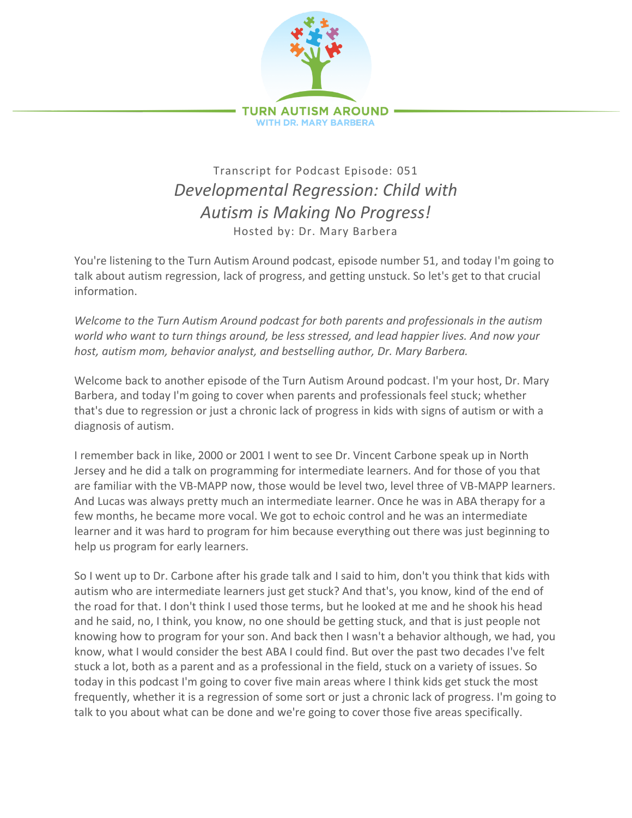

## Transcript for Podcast Episode: 051 *Developmental Regression: Child with Autism is Making No Progress!* Hosted by: Dr. Mary Barbera

You're listening to the Turn Autism Around podcast, episode number 51, and today I'm going to talk about autism regression, lack of progress, and getting unstuck. So let's get to that crucial information.

*Welcome to the Turn Autism Around podcast for both parents and professionals in the autism world who want to turn things around, be less stressed, and lead happier lives. And now your host, autism mom, behavior analyst, and bestselling author, Dr. Mary Barbera.*

Welcome back to another episode of the Turn Autism Around podcast. I'm your host, Dr. Mary Barbera, and today I'm going to cover when parents and professionals feel stuck; whether that's due to regression or just a chronic lack of progress in kids with signs of autism or with a diagnosis of autism.

I remember back in like, 2000 or 2001 I went to see Dr. Vincent Carbone speak up in North Jersey and he did a talk on programming for intermediate learners. And for those of you that are familiar with the VB-MAPP now, those would be level two, level three of VB-MAPP learners. And Lucas was always pretty much an intermediate learner. Once he was in ABA therapy for a few months, he became more vocal. We got to echoic control and he was an intermediate learner and it was hard to program for him because everything out there was just beginning to help us program for early learners.

So I went up to Dr. Carbone after his grade talk and I said to him, don't you think that kids with autism who are intermediate learners just get stuck? And that's, you know, kind of the end of the road for that. I don't think I used those terms, but he looked at me and he shook his head and he said, no, I think, you know, no one should be getting stuck, and that is just people not knowing how to program for your son. And back then I wasn't a behavior although, we had, you know, what I would consider the best ABA I could find. But over the past two decades I've felt stuck a lot, both as a parent and as a professional in the field, stuck on a variety of issues. So today in this podcast I'm going to cover five main areas where I think kids get stuck the most frequently, whether it is a regression of some sort or just a chronic lack of progress. I'm going to talk to you about what can be done and we're going to cover those five areas specifically.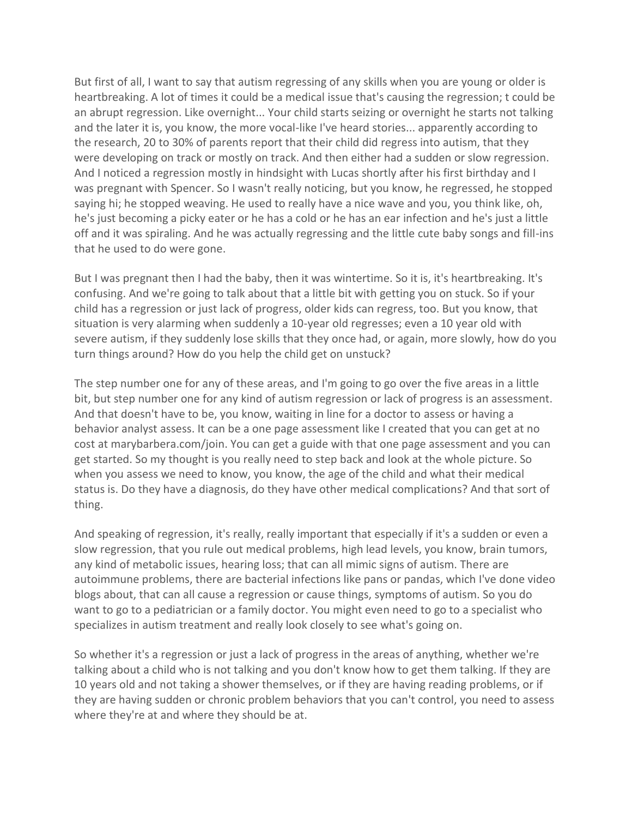But first of all, I want to say that autism regressing of any skills when you are young or older is heartbreaking. A lot of times it could be a medical issue that's causing the regression; t could be an abrupt regression. Like overnight... Your child starts seizing or overnight he starts not talking and the later it is, you know, the more vocal-like I've heard stories... apparently according to the research, 20 to 30% of parents report that their child did regress into autism, that they were developing on track or mostly on track. And then either had a sudden or slow regression. And I noticed a regression mostly in hindsight with Lucas shortly after his first birthday and I was pregnant with Spencer. So I wasn't really noticing, but you know, he regressed, he stopped saying hi; he stopped weaving. He used to really have a nice wave and you, you think like, oh, he's just becoming a picky eater or he has a cold or he has an ear infection and he's just a little off and it was spiraling. And he was actually regressing and the little cute baby songs and fill-ins that he used to do were gone.

But I was pregnant then I had the baby, then it was wintertime. So it is, it's heartbreaking. It's confusing. And we're going to talk about that a little bit with getting you on stuck. So if your child has a regression or just lack of progress, older kids can regress, too. But you know, that situation is very alarming when suddenly a 10-year old regresses; even a 10 year old with severe autism, if they suddenly lose skills that they once had, or again, more slowly, how do you turn things around? How do you help the child get on unstuck?

The step number one for any of these areas, and I'm going to go over the five areas in a little bit, but step number one for any kind of autism regression or lack of progress is an assessment. And that doesn't have to be, you know, waiting in line for a doctor to assess or having a behavior analyst assess. It can be a one page assessment like I created that you can get at no cost at marybarbera.com/join. You can get a guide with that one page assessment and you can get started. So my thought is you really need to step back and look at the whole picture. So when you assess we need to know, you know, the age of the child and what their medical status is. Do they have a diagnosis, do they have other medical complications? And that sort of thing.

And speaking of regression, it's really, really important that especially if it's a sudden or even a slow regression, that you rule out medical problems, high lead levels, you know, brain tumors, any kind of metabolic issues, hearing loss; that can all mimic signs of autism. There are autoimmune problems, there are bacterial infections like pans or pandas, which I've done video blogs about, that can all cause a regression or cause things, symptoms of autism. So you do want to go to a pediatrician or a family doctor. You might even need to go to a specialist who specializes in autism treatment and really look closely to see what's going on.

So whether it's a regression or just a lack of progress in the areas of anything, whether we're talking about a child who is not talking and you don't know how to get them talking. If they are 10 years old and not taking a shower themselves, or if they are having reading problems, or if they are having sudden or chronic problem behaviors that you can't control, you need to assess where they're at and where they should be at.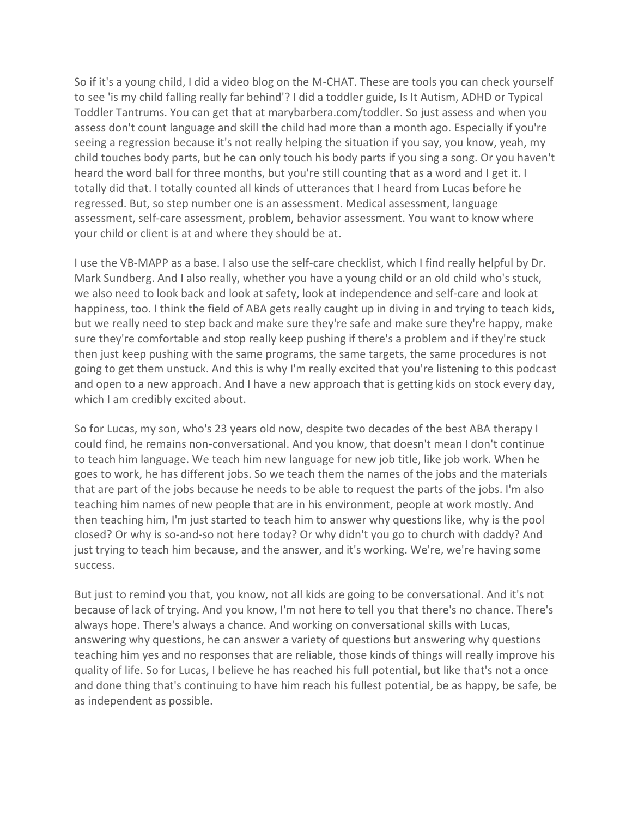So if it's a young child, I did a video blog on the M-CHAT. These are tools you can check yourself to see 'is my child falling really far behind'? I did a toddler guide, Is It Autism, ADHD or Typical Toddler Tantrums. You can get that at marybarbera.com/toddler. So just assess and when you assess don't count language and skill the child had more than a month ago. Especially if you're seeing a regression because it's not really helping the situation if you say, you know, yeah, my child touches body parts, but he can only touch his body parts if you sing a song. Or you haven't heard the word ball for three months, but you're still counting that as a word and I get it. I totally did that. I totally counted all kinds of utterances that I heard from Lucas before he regressed. But, so step number one is an assessment. Medical assessment, language assessment, self-care assessment, problem, behavior assessment. You want to know where your child or client is at and where they should be at.

I use the VB-MAPP as a base. I also use the self-care checklist, which I find really helpful by Dr. Mark Sundberg. And I also really, whether you have a young child or an old child who's stuck, we also need to look back and look at safety, look at independence and self-care and look at happiness, too. I think the field of ABA gets really caught up in diving in and trying to teach kids, but we really need to step back and make sure they're safe and make sure they're happy, make sure they're comfortable and stop really keep pushing if there's a problem and if they're stuck then just keep pushing with the same programs, the same targets, the same procedures is not going to get them unstuck. And this is why I'm really excited that you're listening to this podcast and open to a new approach. And I have a new approach that is getting kids on stock every day, which I am credibly excited about.

So for Lucas, my son, who's 23 years old now, despite two decades of the best ABA therapy I could find, he remains non-conversational. And you know, that doesn't mean I don't continue to teach him language. We teach him new language for new job title, like job work. When he goes to work, he has different jobs. So we teach them the names of the jobs and the materials that are part of the jobs because he needs to be able to request the parts of the jobs. I'm also teaching him names of new people that are in his environment, people at work mostly. And then teaching him, I'm just started to teach him to answer why questions like, why is the pool closed? Or why is so-and-so not here today? Or why didn't you go to church with daddy? And just trying to teach him because, and the answer, and it's working. We're, we're having some success.

But just to remind you that, you know, not all kids are going to be conversational. And it's not because of lack of trying. And you know, I'm not here to tell you that there's no chance. There's always hope. There's always a chance. And working on conversational skills with Lucas, answering why questions, he can answer a variety of questions but answering why questions teaching him yes and no responses that are reliable, those kinds of things will really improve his quality of life. So for Lucas, I believe he has reached his full potential, but like that's not a once and done thing that's continuing to have him reach his fullest potential, be as happy, be safe, be as independent as possible.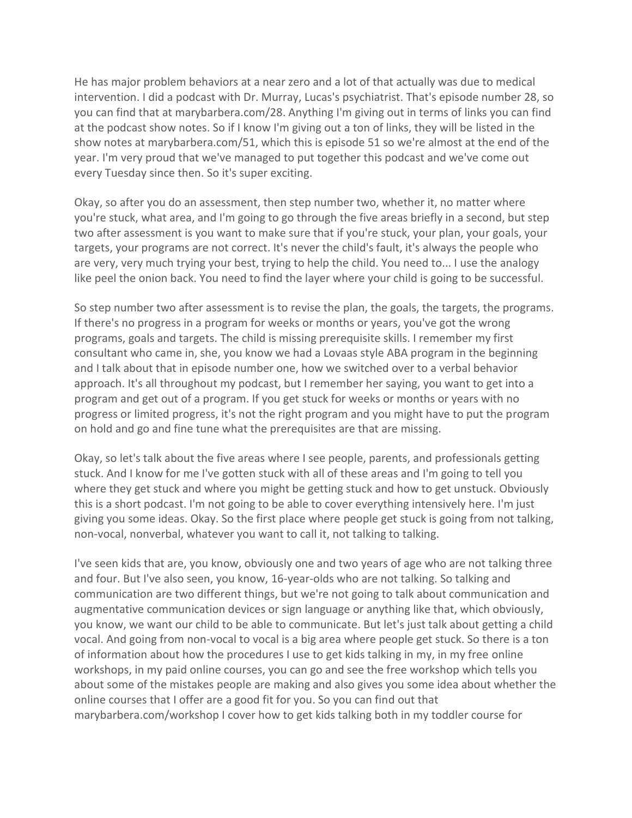He has major problem behaviors at a near zero and a lot of that actually was due to medical intervention. I did a podcast with Dr. Murray, Lucas's psychiatrist. That's episode number 28, so you can find that at marybarbera.com/28. Anything I'm giving out in terms of links you can find at the podcast show notes. So if I know I'm giving out a ton of links, they will be listed in the show notes at marybarbera.com/51, which this is episode 51 so we're almost at the end of the year. I'm very proud that we've managed to put together this podcast and we've come out every Tuesday since then. So it's super exciting.

Okay, so after you do an assessment, then step number two, whether it, no matter where you're stuck, what area, and I'm going to go through the five areas briefly in a second, but step two after assessment is you want to make sure that if you're stuck, your plan, your goals, your targets, your programs are not correct. It's never the child's fault, it's always the people who are very, very much trying your best, trying to help the child. You need to... I use the analogy like peel the onion back. You need to find the layer where your child is going to be successful.

So step number two after assessment is to revise the plan, the goals, the targets, the programs. If there's no progress in a program for weeks or months or years, you've got the wrong programs, goals and targets. The child is missing prerequisite skills. I remember my first consultant who came in, she, you know we had a Lovaas style ABA program in the beginning and I talk about that in episode number one, how we switched over to a verbal behavior approach. It's all throughout my podcast, but I remember her saying, you want to get into a program and get out of a program. If you get stuck for weeks or months or years with no progress or limited progress, it's not the right program and you might have to put the program on hold and go and fine tune what the prerequisites are that are missing.

Okay, so let's talk about the five areas where I see people, parents, and professionals getting stuck. And I know for me I've gotten stuck with all of these areas and I'm going to tell you where they get stuck and where you might be getting stuck and how to get unstuck. Obviously this is a short podcast. I'm not going to be able to cover everything intensively here. I'm just giving you some ideas. Okay. So the first place where people get stuck is going from not talking, non-vocal, nonverbal, whatever you want to call it, not talking to talking.

I've seen kids that are, you know, obviously one and two years of age who are not talking three and four. But I've also seen, you know, 16-year-olds who are not talking. So talking and communication are two different things, but we're not going to talk about communication and augmentative communication devices or sign language or anything like that, which obviously, you know, we want our child to be able to communicate. But let's just talk about getting a child vocal. And going from non-vocal to vocal is a big area where people get stuck. So there is a ton of information about how the procedures I use to get kids talking in my, in my free online workshops, in my paid online courses, you can go and see the free workshop which tells you about some of the mistakes people are making and also gives you some idea about whether the online courses that I offer are a good fit for you. So you can find out that marybarbera.com/workshop I cover how to get kids talking both in my toddler course for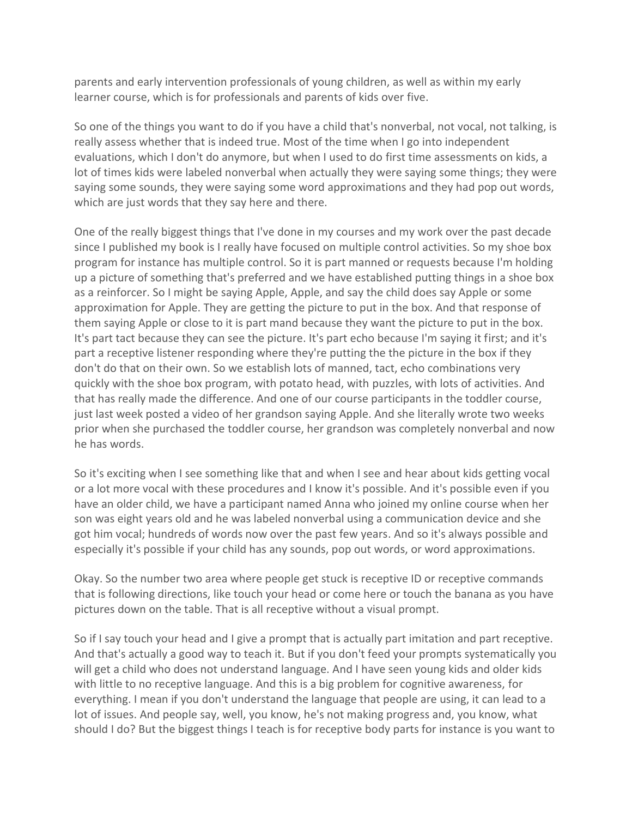parents and early intervention professionals of young children, as well as within my early learner course, which is for professionals and parents of kids over five.

So one of the things you want to do if you have a child that's nonverbal, not vocal, not talking, is really assess whether that is indeed true. Most of the time when I go into independent evaluations, which I don't do anymore, but when I used to do first time assessments on kids, a lot of times kids were labeled nonverbal when actually they were saying some things; they were saying some sounds, they were saying some word approximations and they had pop out words, which are just words that they say here and there.

One of the really biggest things that I've done in my courses and my work over the past decade since I published my book is I really have focused on multiple control activities. So my shoe box program for instance has multiple control. So it is part manned or requests because I'm holding up a picture of something that's preferred and we have established putting things in a shoe box as a reinforcer. So I might be saying Apple, Apple, and say the child does say Apple or some approximation for Apple. They are getting the picture to put in the box. And that response of them saying Apple or close to it is part mand because they want the picture to put in the box. It's part tact because they can see the picture. It's part echo because I'm saying it first; and it's part a receptive listener responding where they're putting the the picture in the box if they don't do that on their own. So we establish lots of manned, tact, echo combinations very quickly with the shoe box program, with potato head, with puzzles, with lots of activities. And that has really made the difference. And one of our course participants in the toddler course, just last week posted a video of her grandson saying Apple. And she literally wrote two weeks prior when she purchased the toddler course, her grandson was completely nonverbal and now he has words.

So it's exciting when I see something like that and when I see and hear about kids getting vocal or a lot more vocal with these procedures and I know it's possible. And it's possible even if you have an older child, we have a participant named Anna who joined my online course when her son was eight years old and he was labeled nonverbal using a communication device and she got him vocal; hundreds of words now over the past few years. And so it's always possible and especially it's possible if your child has any sounds, pop out words, or word approximations.

Okay. So the number two area where people get stuck is receptive ID or receptive commands that is following directions, like touch your head or come here or touch the banana as you have pictures down on the table. That is all receptive without a visual prompt.

So if I say touch your head and I give a prompt that is actually part imitation and part receptive. And that's actually a good way to teach it. But if you don't feed your prompts systematically you will get a child who does not understand language. And I have seen young kids and older kids with little to no receptive language. And this is a big problem for cognitive awareness, for everything. I mean if you don't understand the language that people are using, it can lead to a lot of issues. And people say, well, you know, he's not making progress and, you know, what should I do? But the biggest things I teach is for receptive body parts for instance is you want to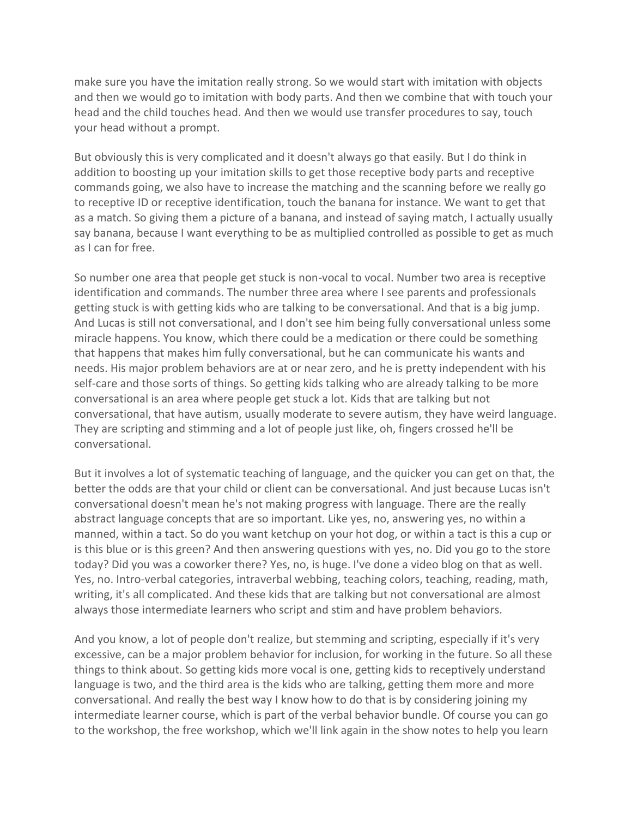make sure you have the imitation really strong. So we would start with imitation with objects and then we would go to imitation with body parts. And then we combine that with touch your head and the child touches head. And then we would use transfer procedures to say, touch your head without a prompt.

But obviously this is very complicated and it doesn't always go that easily. But I do think in addition to boosting up your imitation skills to get those receptive body parts and receptive commands going, we also have to increase the matching and the scanning before we really go to receptive ID or receptive identification, touch the banana for instance. We want to get that as a match. So giving them a picture of a banana, and instead of saying match, I actually usually say banana, because I want everything to be as multiplied controlled as possible to get as much as I can for free.

So number one area that people get stuck is non-vocal to vocal. Number two area is receptive identification and commands. The number three area where I see parents and professionals getting stuck is with getting kids who are talking to be conversational. And that is a big jump. And Lucas is still not conversational, and I don't see him being fully conversational unless some miracle happens. You know, which there could be a medication or there could be something that happens that makes him fully conversational, but he can communicate his wants and needs. His major problem behaviors are at or near zero, and he is pretty independent with his self-care and those sorts of things. So getting kids talking who are already talking to be more conversational is an area where people get stuck a lot. Kids that are talking but not conversational, that have autism, usually moderate to severe autism, they have weird language. They are scripting and stimming and a lot of people just like, oh, fingers crossed he'll be conversational.

But it involves a lot of systematic teaching of language, and the quicker you can get on that, the better the odds are that your child or client can be conversational. And just because Lucas isn't conversational doesn't mean he's not making progress with language. There are the really abstract language concepts that are so important. Like yes, no, answering yes, no within a manned, within a tact. So do you want ketchup on your hot dog, or within a tact is this a cup or is this blue or is this green? And then answering questions with yes, no. Did you go to the store today? Did you was a coworker there? Yes, no, is huge. I've done a video blog on that as well. Yes, no. Intro-verbal categories, intraverbal webbing, teaching colors, teaching, reading, math, writing, it's all complicated. And these kids that are talking but not conversational are almost always those intermediate learners who script and stim and have problem behaviors.

And you know, a lot of people don't realize, but stemming and scripting, especially if it's very excessive, can be a major problem behavior for inclusion, for working in the future. So all these things to think about. So getting kids more vocal is one, getting kids to receptively understand language is two, and the third area is the kids who are talking, getting them more and more conversational. And really the best way I know how to do that is by considering joining my intermediate learner course, which is part of the verbal behavior bundle. Of course you can go to the workshop, the free workshop, which we'll link again in the show notes to help you learn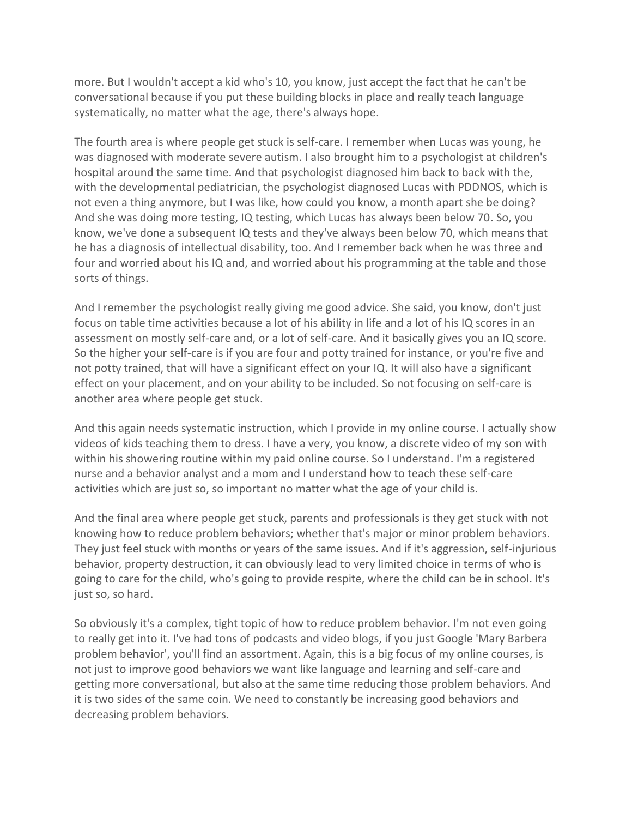more. But I wouldn't accept a kid who's 10, you know, just accept the fact that he can't be conversational because if you put these building blocks in place and really teach language systematically, no matter what the age, there's always hope.

The fourth area is where people get stuck is self-care. I remember when Lucas was young, he was diagnosed with moderate severe autism. I also brought him to a psychologist at children's hospital around the same time. And that psychologist diagnosed him back to back with the, with the developmental pediatrician, the psychologist diagnosed Lucas with PDDNOS, which is not even a thing anymore, but I was like, how could you know, a month apart she be doing? And she was doing more testing, IQ testing, which Lucas has always been below 70. So, you know, we've done a subsequent IQ tests and they've always been below 70, which means that he has a diagnosis of intellectual disability, too. And I remember back when he was three and four and worried about his IQ and, and worried about his programming at the table and those sorts of things.

And I remember the psychologist really giving me good advice. She said, you know, don't just focus on table time activities because a lot of his ability in life and a lot of his IQ scores in an assessment on mostly self-care and, or a lot of self-care. And it basically gives you an IQ score. So the higher your self-care is if you are four and potty trained for instance, or you're five and not potty trained, that will have a significant effect on your IQ. It will also have a significant effect on your placement, and on your ability to be included. So not focusing on self-care is another area where people get stuck.

And this again needs systematic instruction, which I provide in my online course. I actually show videos of kids teaching them to dress. I have a very, you know, a discrete video of my son with within his showering routine within my paid online course. So I understand. I'm a registered nurse and a behavior analyst and a mom and I understand how to teach these self-care activities which are just so, so important no matter what the age of your child is.

And the final area where people get stuck, parents and professionals is they get stuck with not knowing how to reduce problem behaviors; whether that's major or minor problem behaviors. They just feel stuck with months or years of the same issues. And if it's aggression, self-injurious behavior, property destruction, it can obviously lead to very limited choice in terms of who is going to care for the child, who's going to provide respite, where the child can be in school. It's just so, so hard.

So obviously it's a complex, tight topic of how to reduce problem behavior. I'm not even going to really get into it. I've had tons of podcasts and video blogs, if you just Google 'Mary Barbera problem behavior', you'll find an assortment. Again, this is a big focus of my online courses, is not just to improve good behaviors we want like language and learning and self-care and getting more conversational, but also at the same time reducing those problem behaviors. And it is two sides of the same coin. We need to constantly be increasing good behaviors and decreasing problem behaviors.